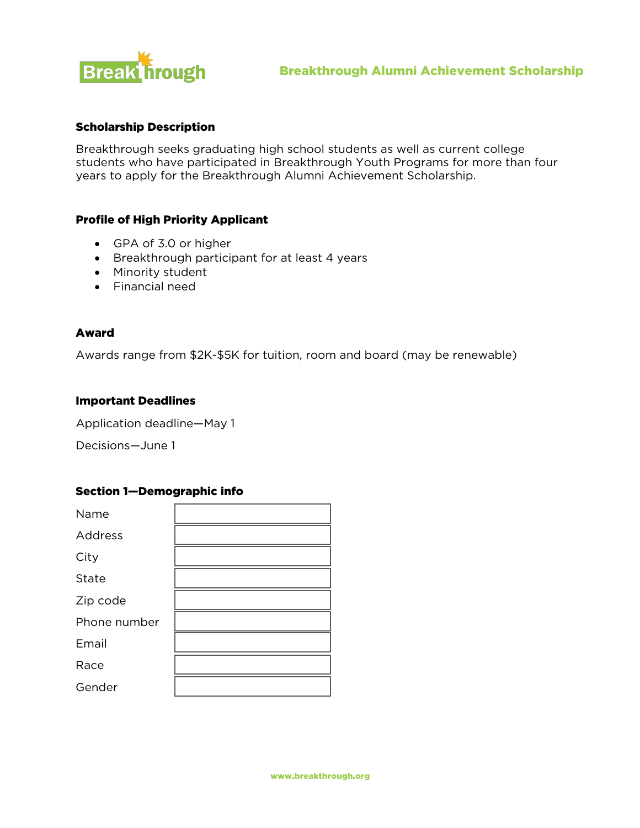

# Scholarship Description

Breakthrough seeks graduating high school students as well as current college students who have participated in Breakthrough Youth Programs for more than four years to apply for the Breakthrough Alumni Achievement Scholarship.

### Profile of High Priority Applicant

- GPA of 3.0 or higher
- Breakthrough participant for at least 4 years
- Minority student
- Financial need

### Award

Awards range from \$2K-\$5K for tuition, room and board (may be renewable)

### Important Deadlines

Application deadline—May 1

Decisions—June 1

### Section 1—Demographic info

| Name         |  |
|--------------|--|
| Address      |  |
| City         |  |
| State        |  |
| Zip code     |  |
| Phone number |  |
| Email        |  |
| Race         |  |
| Gender       |  |